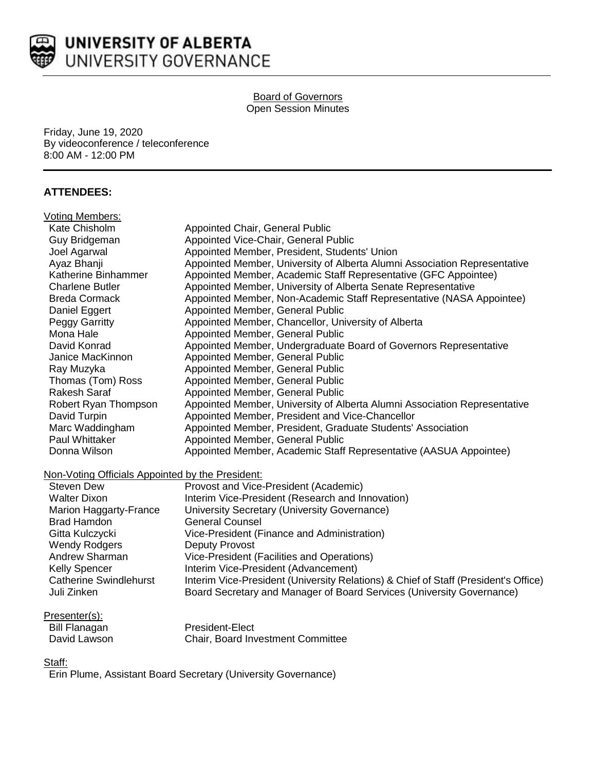

#### Board of Governors Open Session Minutes

Friday, June 19, 2020 By videoconference / teleconference 8:00 AM - 12:00 PM

## **ATTENDEES:**

| Voting Members:                                  |                                                                                     |  |
|--------------------------------------------------|-------------------------------------------------------------------------------------|--|
| Kate Chisholm                                    | Appointed Chair, General Public                                                     |  |
| Guy Bridgeman                                    | Appointed Vice-Chair, General Public                                                |  |
| Joel Agarwal                                     | Appointed Member, President, Students' Union                                        |  |
| Ayaz Bhanji                                      | Appointed Member, University of Alberta Alumni Association Representative           |  |
| Katherine Binhammer                              | Appointed Member, Academic Staff Representative (GFC Appointee)                     |  |
| <b>Charlene Butler</b>                           | Appointed Member, University of Alberta Senate Representative                       |  |
| <b>Breda Cormack</b>                             | Appointed Member, Non-Academic Staff Representative (NASA Appointee)                |  |
| Daniel Eggert                                    | Appointed Member, General Public                                                    |  |
| Peggy Garritty                                   | Appointed Member, Chancellor, University of Alberta                                 |  |
| Mona Hale                                        | Appointed Member, General Public                                                    |  |
| David Konrad                                     | Appointed Member, Undergraduate Board of Governors Representative                   |  |
| Janice MacKinnon                                 | Appointed Member, General Public                                                    |  |
| Ray Muzyka                                       | Appointed Member, General Public                                                    |  |
| Thomas (Tom) Ross                                | Appointed Member, General Public                                                    |  |
| Rakesh Saraf                                     | Appointed Member, General Public                                                    |  |
| Robert Ryan Thompson                             | Appointed Member, University of Alberta Alumni Association Representative           |  |
| David Turpin                                     | Appointed Member, President and Vice-Chancellor                                     |  |
| Marc Waddingham                                  | Appointed Member, President, Graduate Students' Association                         |  |
| Paul Whittaker                                   | Appointed Member, General Public                                                    |  |
| Donna Wilson                                     | Appointed Member, Academic Staff Representative (AASUA Appointee)                   |  |
| Non-Voting Officials Appointed by the President: |                                                                                     |  |
| <b>Steven Dew</b>                                | Provost and Vice-President (Academic)                                               |  |
| <b>Walter Dixon</b>                              | Interim Vice-President (Research and Innovation)                                    |  |
| Marion Haggarty-France                           | University Secretary (University Governance)                                        |  |
| <b>Brad Hamdon</b>                               | <b>General Counsel</b>                                                              |  |
| Gitta Kulczycki                                  | Vice-President (Finance and Administration)                                         |  |
| <b>Wendy Rodgers</b>                             | <b>Deputy Provost</b>                                                               |  |
| Andrew Sharman                                   | Vice-President (Facilities and Operations)                                          |  |
| Kelly Spencer                                    | Interim Vice-President (Advancement)                                                |  |
| <b>Catherine Swindlehurst</b>                    | Interim Vice-President (University Relations) & Chief of Staff (President's Office) |  |
| Juli Zinken                                      | Board Secretary and Manager of Board Services (University Governance)               |  |
|                                                  |                                                                                     |  |

| Presenter(s): |  |
|---------------|--|
|               |  |

| Bill Flanagan | <b>President-Elect</b>                   |
|---------------|------------------------------------------|
| David Lawson  | <b>Chair, Board Investment Committee</b> |

#### Staff:

Erin Plume, Assistant Board Secretary (University Governance)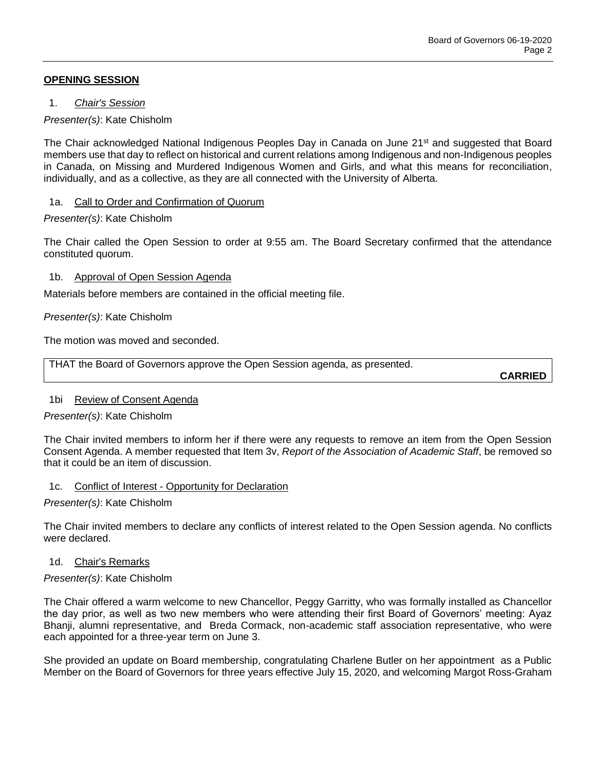## **OPENING SESSION**

1. *Chair's Session*

## *Presenter(s)*: Kate Chisholm

The Chair acknowledged National Indigenous Peoples Day in Canada on June 21<sup>st</sup> and suggested that Board members use that day to reflect on historical and current relations among Indigenous and non-Indigenous peoples in Canada, on Missing and Murdered Indigenous Women and Girls, and what this means for reconciliation, individually, and as a collective, as they are all connected with the University of Alberta.

### 1a. Call to Order and Confirmation of Quorum

## *Presenter(s)*: Kate Chisholm

The Chair called the Open Session to order at 9:55 am. The Board Secretary confirmed that the attendance constituted quorum.

## 1b. Approval of Open Session Agenda

Materials before members are contained in the official meeting file.

## *Presenter(s)*: Kate Chisholm

The motion was moved and seconded.

THAT the Board of Governors approve the Open Session agenda, as presented.

**CARRIED**

# 1bi Review of Consent Agenda

*Presenter(s)*: Kate Chisholm

The Chair invited members to inform her if there were any requests to remove an item from the Open Session Consent Agenda. A member requested that Item 3v, *Report of the Association of Academic Staff*, be removed so that it could be an item of discussion.

### 1c. Conflict of Interest - Opportunity for Declaration

### *Presenter(s)*: Kate Chisholm

The Chair invited members to declare any conflicts of interest related to the Open Session agenda. No conflicts were declared.

### 1d. Chair's Remarks

### *Presenter(s)*: Kate Chisholm

The Chair offered a warm welcome to new Chancellor, Peggy Garritty, who was formally installed as Chancellor the day prior, as well as two new members who were attending their first Board of Governors' meeting: Ayaz Bhanji, alumni representative, and Breda Cormack, non-academic staff association representative, who were each appointed for a three-year term on June 3.

She provided an update on Board membership, congratulating Charlene Butler on her appointment as a Public Member on the Board of Governors for three years effective July 15, 2020, and welcoming Margot Ross-Graham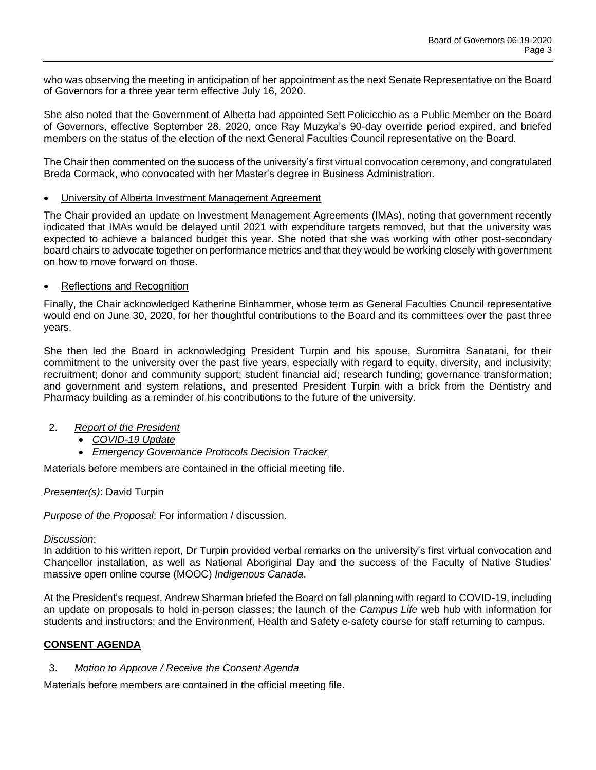who was observing the meeting in anticipation of her appointment as the next Senate Representative on the Board of Governors for a three year term effective July 16, 2020.

She also noted that the Government of Alberta had appointed Sett Policicchio as a Public Member on the Board of Governors, effective September 28, 2020, once Ray Muzyka's 90-day override period expired, and briefed members on the status of the election of the next General Faculties Council representative on the Board.

The Chair then commented on the success of the university's first virtual convocation ceremony, and congratulated Breda Cormack, who convocated with her Master's degree in Business Administration.

### • University of Alberta Investment Management Agreement

The Chair provided an update on Investment Management Agreements (IMAs), noting that government recently indicated that IMAs would be delayed until 2021 with expenditure targets removed, but that the university was expected to achieve a balanced budget this year. She noted that she was working with other post-secondary board chairs to advocate together on performance metrics and that they would be working closely with government on how to move forward on those.

#### Reflections and Recognition

Finally, the Chair acknowledged Katherine Binhammer, whose term as General Faculties Council representative would end on June 30, 2020, for her thoughtful contributions to the Board and its committees over the past three years.

She then led the Board in acknowledging President Turpin and his spouse, Suromitra Sanatani, for their commitment to the university over the past five years, especially with regard to equity, diversity, and inclusivity; recruitment; donor and community support; student financial aid; research funding; governance transformation; and government and system relations, and presented President Turpin with a brick from the Dentistry and Pharmacy building as a reminder of his contributions to the future of the university.

- 2. *Report of the President*
	- *COVID-19 Update*
	- *Emergency Governance Protocols Decision Tracker*

Materials before members are contained in the official meeting file.

### *Presenter(s)*: David Turpin

*Purpose of the Proposal*: For information / discussion.

### *Discussion*:

In addition to his written report, Dr Turpin provided verbal remarks on the university's first virtual convocation and Chancellor installation, as well as National Aboriginal Day and the success of the Faculty of Native Studies' massive open online course (MOOC) *Indigenous Canada*.

At the President's request, Andrew Sharman briefed the Board on fall planning with regard to COVID-19, including an update on proposals to hold in-person classes; the launch of the *Campus Life* web hub with information for students and instructors; and the Environment, Health and Safety e-safety course for staff returning to campus.

### **CONSENT AGENDA**

### 3. *Motion to Approve / Receive the Consent Agenda*

Materials before members are contained in the official meeting file.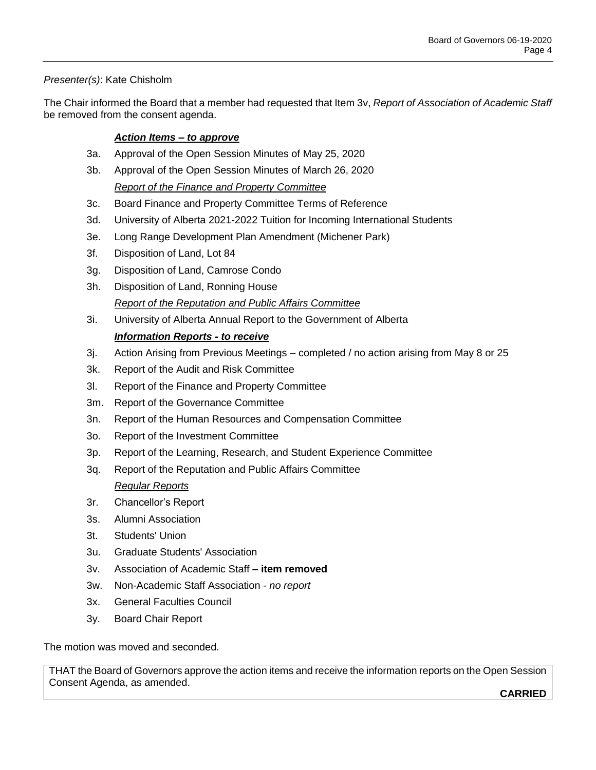# *Presenter(s)*: Kate Chisholm

The Chair informed the Board that a member had requested that Item 3v, *Report of Association of Academic Staff*  be removed from the consent agenda.

# *Action Items – to approve*

- 3a. Approval of the Open Session Minutes of May 25, 2020
- 3b. Approval of the Open Session Minutes of March 26, 2020 *Report of the Finance and Property Committee*
- 3c. Board Finance and Property Committee Terms of Reference
- 3d. University of Alberta 2021-2022 Tuition for Incoming International Students
- 3e. Long Range Development Plan Amendment (Michener Park)
- 3f. Disposition of Land, Lot 84
- 3g. Disposition of Land, Camrose Condo
- 3h. Disposition of Land, Ronning House *Report of the Reputation and Public Affairs Committee*
- 3i. University of Alberta Annual Report to the Government of Alberta

# *Information Reports - to receive*

- 3j. Action Arising from Previous Meetings completed / no action arising from May 8 or 25
- 3k. Report of the Audit and Risk Committee
- 3l. Report of the Finance and Property Committee
- 3m. Report of the Governance Committee
- 3n. Report of the Human Resources and Compensation Committee
- 3o. Report of the Investment Committee
- 3p. Report of the Learning, Research, and Student Experience Committee
- 3q. Report of the Reputation and Public Affairs Committee *Regular Reports*
- 3r. Chancellor's Report
- 3s. Alumni Association
- 3t. Students' Union
- 3u. Graduate Students' Association
- 3v. Association of Academic Staff **– item removed**
- 3w. Non-Academic Staff Association *no report*
- 3x. General Faculties Council
- 3y. Board Chair Report

The motion was moved and seconded.

THAT the Board of Governors approve the action items and receive the information reports on the Open Session Consent Agenda, as amended.

**CARRIED**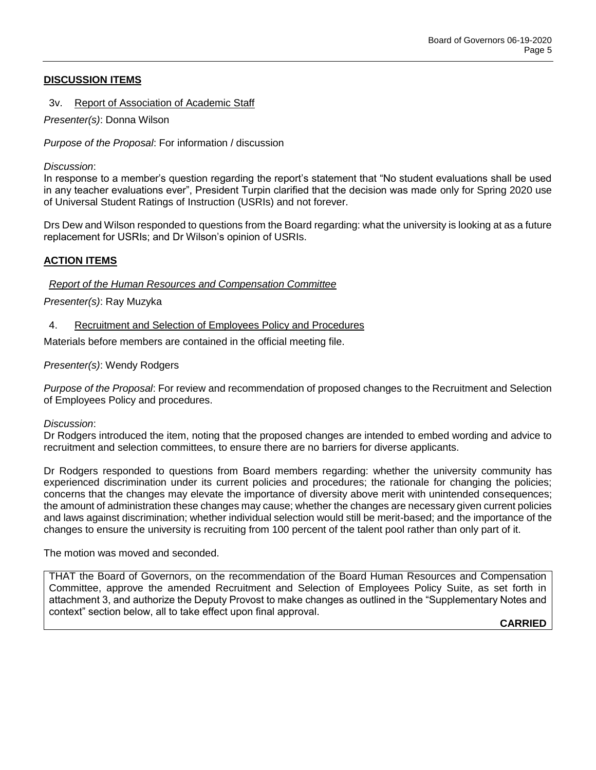## **DISCUSSION ITEMS**

3v. Report of Association of Academic Staff

*Presenter(s)*: Donna Wilson

*Purpose of the Proposal*: For information / discussion

*Discussion*:

In response to a member's question regarding the report's statement that "No student evaluations shall be used in any teacher evaluations ever", President Turpin clarified that the decision was made only for Spring 2020 use of Universal Student Ratings of Instruction (USRIs) and not forever.

Drs Dew and Wilson responded to questions from the Board regarding: what the university is looking at as a future replacement for USRIs; and Dr Wilson's opinion of USRIs.

## **ACTION ITEMS**

### *Report of the Human Resources and Compensation Committee*

*Presenter(s)*: Ray Muzyka

#### 4. Recruitment and Selection of Employees Policy and Procedures

Materials before members are contained in the official meeting file.

#### *Presenter(s)*: Wendy Rodgers

*Purpose of the Proposal*: For review and recommendation of proposed changes to the Recruitment and Selection of Employees Policy and procedures.

*Discussion*:

Dr Rodgers introduced the item, noting that the proposed changes are intended to embed wording and advice to recruitment and selection committees, to ensure there are no barriers for diverse applicants.

Dr Rodgers responded to questions from Board members regarding: whether the university community has experienced discrimination under its current policies and procedures; the rationale for changing the policies; concerns that the changes may elevate the importance of diversity above merit with unintended consequences; the amount of administration these changes may cause; whether the changes are necessary given current policies and laws against discrimination; whether individual selection would still be merit-based; and the importance of the changes to ensure the university is recruiting from 100 percent of the talent pool rather than only part of it.

The motion was moved and seconded.

THAT the Board of Governors, on the recommendation of the Board Human Resources and Compensation Committee, approve the amended Recruitment and Selection of Employees Policy Suite, as set forth in attachment 3, and authorize the Deputy Provost to make changes as outlined in the "Supplementary Notes and context" section below, all to take effect upon final approval.

**CARRIED**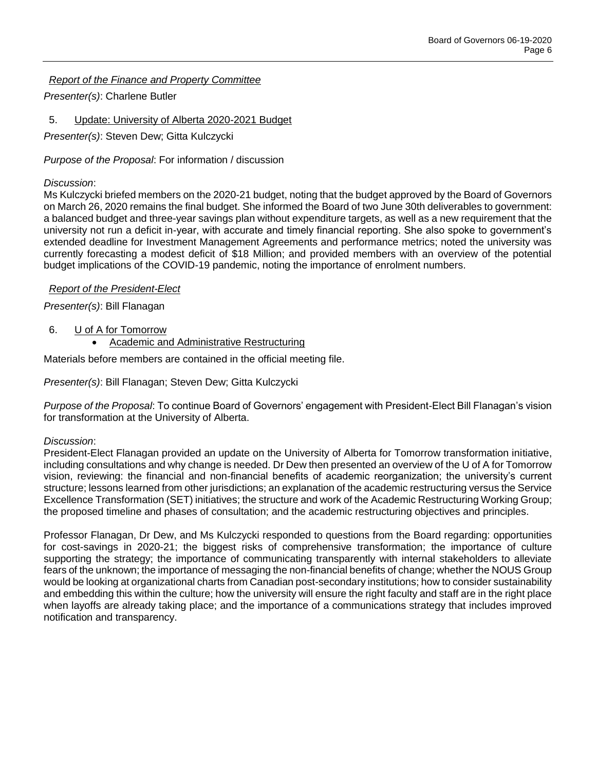*Report of the Finance and Property Committee*

*Presenter(s)*: Charlene Butler

5. Update: University of Alberta 2020-2021 Budget

*Presenter(s)*: Steven Dew; Gitta Kulczycki

*Purpose of the Proposal*: For information / discussion

## *Discussion*:

Ms Kulczycki briefed members on the 2020-21 budget, noting that the budget approved by the Board of Governors on March 26, 2020 remains the final budget. She informed the Board of two June 30th deliverables to government: a balanced budget and three-year savings plan without expenditure targets, as well as a new requirement that the university not run a deficit in-year, with accurate and timely financial reporting. She also spoke to government's extended deadline for Investment Management Agreements and performance metrics; noted the university was currently forecasting a modest deficit of \$18 Million; and provided members with an overview of the potential budget implications of the COVID-19 pandemic, noting the importance of enrolment numbers.

## *Report of the President-Elect*

# *Presenter(s)*: Bill Flanagan

# 6. U of A for Tomorrow

Academic and Administrative Restructuring

Materials before members are contained in the official meeting file.

*Presenter(s)*: Bill Flanagan; Steven Dew; Gitta Kulczycki

*Purpose of the Proposal*: To continue Board of Governors' engagement with President-Elect Bill Flanagan's vision for transformation at the University of Alberta.

### *Discussion*:

President-Elect Flanagan provided an update on the University of Alberta for Tomorrow transformation initiative, including consultations and why change is needed. Dr Dew then presented an overview of the U of A for Tomorrow vision, reviewing: the financial and non-financial benefits of academic reorganization; the university's current structure; lessons learned from other jurisdictions; an explanation of the academic restructuring versus the Service Excellence Transformation (SET) initiatives; the structure and work of the Academic Restructuring Working Group; the proposed timeline and phases of consultation; and the academic restructuring objectives and principles.

Professor Flanagan, Dr Dew, and Ms Kulczycki responded to questions from the Board regarding: opportunities for cost-savings in 2020-21; the biggest risks of comprehensive transformation; the importance of culture supporting the strategy; the importance of communicating transparently with internal stakeholders to alleviate fears of the unknown; the importance of messaging the non-financial benefits of change; whether the NOUS Group would be looking at organizational charts from Canadian post-secondary institutions; how to consider sustainability and embedding this within the culture; how the university will ensure the right faculty and staff are in the right place when layoffs are already taking place; and the importance of a communications strategy that includes improved notification and transparency.